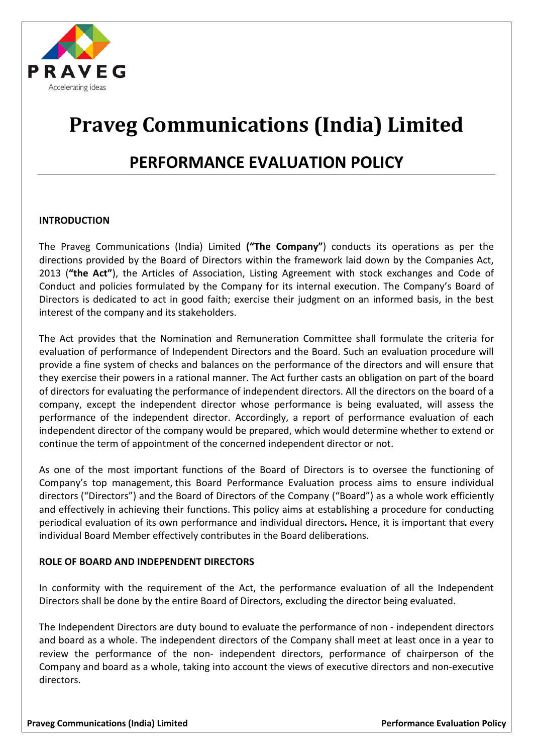

# **Praveg Communications (India) Limited**

# **PERFORMANCE EVALUATION POLICY**

#### **INTRODUCTION**

The Praveg Communications (India) Limited **("The Company"**) conducts its operations as per the directions provided by the Board of Directors within the framework laid down by the Companies Act, 2013 (**"the Act"**), the Articles of Association, Listing Agreement with stock exchanges and Code of Conduct and policies formulated by the Company for its internal execution. The Company's Board of Directors is dedicated to act in good faith; exercise their judgment on an informed basis, in the best interest of the company and its stakeholders.

The Act provides that the Nomination and Remuneration Committee shall formulate the criteria for evaluation of performance of Independent Directors and the Board. Such an evaluation procedure will provide a fine system of checks and balances on the performance of the directors and will ensure that they exercise their powers in a rational manner. The Act further casts an obligation on part of the board of directors for evaluating the performance of independent directors. All the directors on the board of a company, except the independent director whose performance is being evaluated, will assess the performance of the independent director. Accordingly, a report of performance evaluation of each independent director of the company would be prepared, which would determine whether to extend or continue the term of appointment of the concerned independent director or not.

As one of the most important functions of the Board of Directors is to oversee the functioning of Company's top management, this Board Performance Evaluation process aims to ensure individual directors ("Directors") and the Board of Directors of the Company ("Board") as a whole work efficiently and effectively in achieving their functions. This policy aims at establishing a procedure for conducting periodical evaluation of its own performance and individual directors**.** Hence, it is important that every individual Board Member effectively contributes in the Board deliberations.

# **ROLE OF BOARD AND INDEPENDENT DIRECTORS**

In conformity with the requirement of the Act, the performance evaluation of all the Independent Directors shall be done by the entire Board of Directors, excluding the director being evaluated.

The Independent Directors are duty bound to evaluate the performance of non - independent directors and board as a whole. The independent directors of the Company shall meet at least once in a year to review the performance of the non- independent directors, performance of chairperson of the Company and board as a whole, taking into account the views of executive directors and non-executive directors.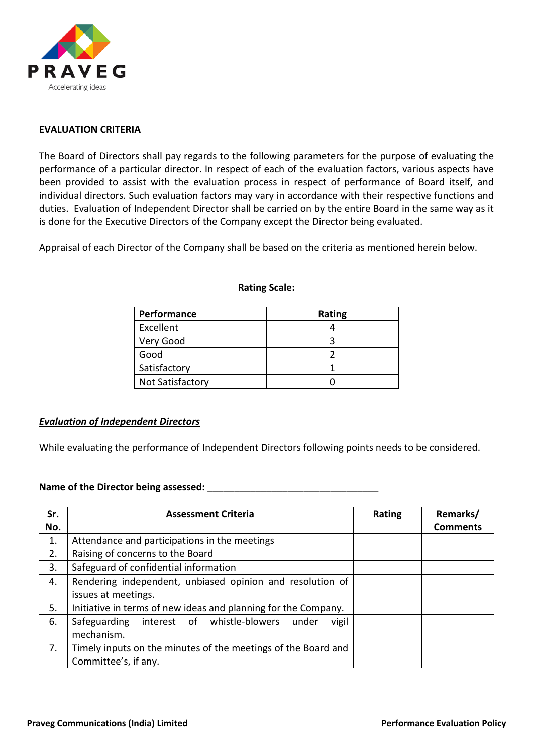

### **EVALUATION CRITERIA**

The Board of Directors shall pay regards to the following parameters for the purpose of evaluating the performance of a particular director. In respect of each of the evaluation factors, various aspects have been provided to assist with the evaluation process in respect of performance of Board itself, and individual directors. Such evaluation factors may vary in accordance with their respective functions and duties. Evaluation of Independent Director shall be carried on by the entire Board in the same way as it is done for the Executive Directors of the Company except the Director being evaluated.

Appraisal of each Director of the Company shall be based on the criteria as mentioned herein below.

| Performance             | Rating |
|-------------------------|--------|
| Excellent               |        |
| Very Good               |        |
| Good                    |        |
| Satisfactory            |        |
| <b>Not Satisfactory</b> |        |

#### **Rating Scale:**

#### *Evaluation of Independent Directors*

While evaluating the performance of Independent Directors following points needs to be considered.

#### Name of the Director being assessed:

| Sr. | <b>Assessment Criteria</b>                                                            | Rating | Remarks/        |
|-----|---------------------------------------------------------------------------------------|--------|-----------------|
| No. |                                                                                       |        | <b>Comments</b> |
| 1.  | Attendance and participations in the meetings                                         |        |                 |
| 2.  | Raising of concerns to the Board                                                      |        |                 |
| 3.  | Safeguard of confidential information                                                 |        |                 |
| 4.  | Rendering independent, unbiased opinion and resolution of                             |        |                 |
|     | issues at meetings.                                                                   |        |                 |
| 5.  | Initiative in terms of new ideas and planning for the Company.                        |        |                 |
| 6.  | Safeguarding interest of whistle-blowers under<br>vigil<br>mechanism.                 |        |                 |
| 7.  | Timely inputs on the minutes of the meetings of the Board and<br>Committee's, if any. |        |                 |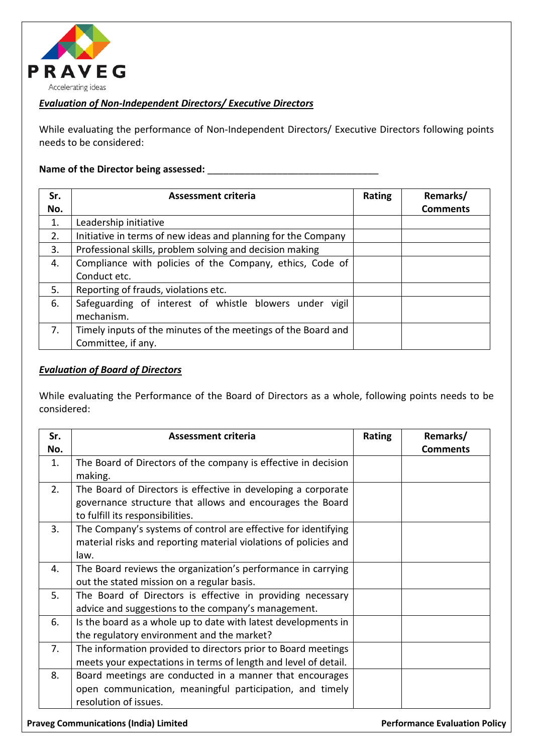

# *Evaluation of Non-Independent Directors/ Executive Directors*

While evaluating the performance of Non-Independent Directors/ Executive Directors following points needs to be considered:

#### **Name of the Director being assessed:** \_\_\_\_\_\_\_\_\_\_\_\_\_\_\_\_\_\_\_\_\_\_\_\_\_\_\_\_\_\_\_\_

| Sr. | <b>Assessment criteria</b>                                    | Rating | Remarks/        |
|-----|---------------------------------------------------------------|--------|-----------------|
| No. |                                                               |        | <b>Comments</b> |
| 1.  | Leadership initiative                                         |        |                 |
| 2.  | Initiative in terms of new ideas and planning for the Company |        |                 |
| 3.  | Professional skills, problem solving and decision making      |        |                 |
| 4.  | Compliance with policies of the Company, ethics, Code of      |        |                 |
|     | Conduct etc.                                                  |        |                 |
| 5.  | Reporting of frauds, violations etc.                          |        |                 |
| 6.  | Safeguarding of interest of whistle blowers under vigil       |        |                 |
|     | mechanism.                                                    |        |                 |
| 7.  | Timely inputs of the minutes of the meetings of the Board and |        |                 |
|     | Committee, if any.                                            |        |                 |

#### *Evaluation of Board of Directors*

While evaluating the Performance of the Board of Directors as a whole, following points needs to be considered:

| Sr. | <b>Assessment criteria</b>                                       | Rating | Remarks/        |
|-----|------------------------------------------------------------------|--------|-----------------|
| No. |                                                                  |        | <b>Comments</b> |
| 1.  | The Board of Directors of the company is effective in decision   |        |                 |
|     | making.                                                          |        |                 |
| 2.  | The Board of Directors is effective in developing a corporate    |        |                 |
|     | governance structure that allows and encourages the Board        |        |                 |
|     | to fulfill its responsibilities.                                 |        |                 |
| 3.  | The Company's systems of control are effective for identifying   |        |                 |
|     | material risks and reporting material violations of policies and |        |                 |
|     | law.                                                             |        |                 |
| 4.  | The Board reviews the organization's performance in carrying     |        |                 |
|     | out the stated mission on a regular basis.                       |        |                 |
| 5.  | The Board of Directors is effective in providing necessary       |        |                 |
|     | advice and suggestions to the company's management.              |        |                 |
| 6.  | Is the board as a whole up to date with latest developments in   |        |                 |
|     | the regulatory environment and the market?                       |        |                 |
| 7.  | The information provided to directors prior to Board meetings    |        |                 |
|     | meets your expectations in terms of length and level of detail.  |        |                 |
| 8.  | Board meetings are conducted in a manner that encourages         |        |                 |
|     | open communication, meaningful participation, and timely         |        |                 |
|     | resolution of issues.                                            |        |                 |